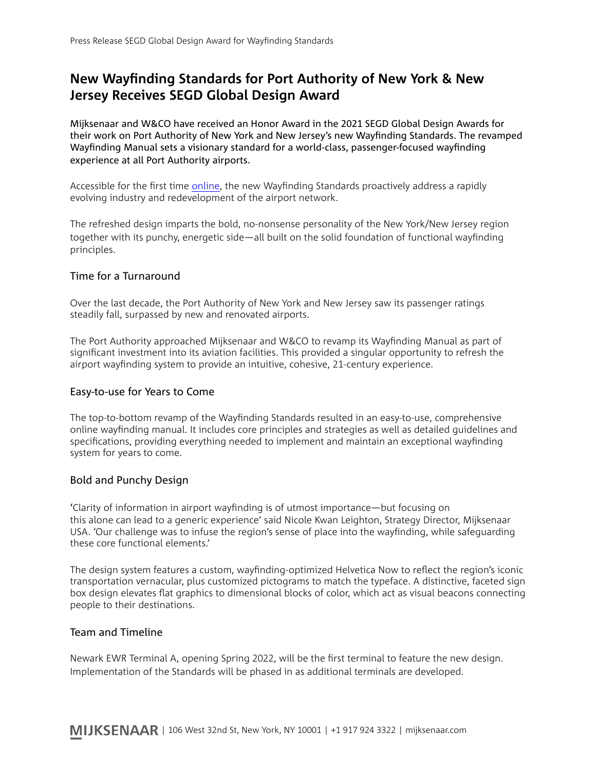# **New Wayfnding Standards for Port Authority of New York & New Jersey Receives SEGD Global Design Award**

Mijksenaar and W&CO have received an Honor Award in the 2021 SEGD Global Design Awards for their work on Port Authority of New York and New Jersey's new Wayfnding Standards. The revamped Wayfnding Manual sets a visionary standard for a world-class, passenger-focused wayfnding experience at all Port Authority airports.

Accessible for the first time [online,](https://wayfinding.panynj.gov) the new Wayfinding Standards proactively address a rapidly evolving industry and redevelopment of the airport network.

The refreshed design imparts the bold, no-nonsense personality of the New York/New Jersey region together with its punchy, energetic side—all built on the solid foundation of functional wayfnding principles.

## Time for a Turnaround

Over the last decade, the Port Authority of New York and New Jersey saw its passenger ratings steadily fall, surpassed by new and renovated airports.

The Port Authority approached Mijksenaar and W&CO to revamp its Wayfnding Manual as part of signifcant investment into its aviation facilities. This provided a singular opportunity to refresh the airport wayfnding system to provide an intuitive, cohesive, 21-century experience.

## Easy-to-use for Years to Come

The top-to-bottom revamp of the Wayfnding Standards resulted in an easy-to-use, comprehensive online wayfnding manual. It includes core principles and strategies as well as detailed guidelines and specifcations, providing everything needed to implement and maintain an exceptional wayfnding system for years to come.

## Bold and Punchy Design

'Clarity of information in airport wayfnding is of utmost importance—but focusing on this alone can lead to a generic experience' said Nicole Kwan Leighton, Strategy Director, Mijksenaar USA. 'Our challenge was to infuse the region's sense of place into the wayfnding, while safeguarding these core functional elements.'

The design system features a custom, wayfnding-optimized Helvetica Now to refect the region's iconic transportation vernacular, plus customized pictograms to match the typeface. A distinctive, faceted sign box design elevates fat graphics to dimensional blocks of color, which act as visual beacons connecting people to their destinations.

## Team and Timeline

Newark EWR Terminal A, opening Spring 2022, will be the frst terminal to feature the new design. Implementation of the Standards will be phased in as additional terminals are developed.